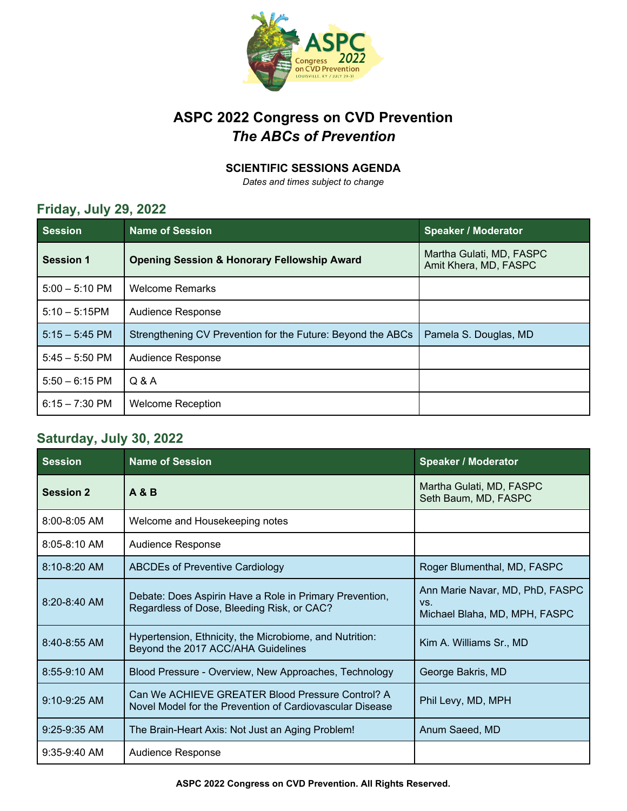

## **ASPC 2022 Congress on CVD Prevention** *The ABCs of Prevention*

#### **SCIENTIFIC SESSIONS AGENDA**

*Dates and times subject to change*

### **Friday, July 29, 2022**

| <b>Session</b>           | <b>Name of Session</b>                                      | <b>Speaker / Moderator</b>                        |
|--------------------------|-------------------------------------------------------------|---------------------------------------------------|
| Session 1                | <b>Opening Session &amp; Honorary Fellowship Award</b>      | Martha Gulati, MD, FASPC<br>Amit Khera, MD, FASPC |
| $5:00 - 5:10 \text{ PM}$ | <b>Welcome Remarks</b>                                      |                                                   |
| $5:10 - 5:15$ PM         | Audience Response                                           |                                                   |
| $5:15 - 5:45$ PM         | Strengthening CV Prevention for the Future: Beyond the ABCs | Pamela S. Douglas, MD                             |
| $5:45 - 5:50$ PM         | Audience Response                                           |                                                   |
| $5:50 - 6:15$ PM         | Q & A                                                       |                                                   |
| $6:15 - 7:30$ PM         | <b>Welcome Reception</b>                                    |                                                   |

#### **Saturday, July 30, 2022**

| <b>Session</b>   | <b>Name of Session</b>                                                                                       | <b>Speaker / Moderator</b>                                              |
|------------------|--------------------------------------------------------------------------------------------------------------|-------------------------------------------------------------------------|
| <b>Session 2</b> | <b>A &amp; B</b>                                                                                             | Martha Gulati, MD, FASPC<br>Seth Baum, MD, FASPC                        |
| 8:00-8:05 AM     | Welcome and Housekeeping notes                                                                               |                                                                         |
| $8:05 - 8:10$ AM | Audience Response                                                                                            |                                                                         |
| $8:10 - 8:20$ AM | <b>ABCDEs of Preventive Cardiology</b>                                                                       | Roger Blumenthal, MD, FASPC                                             |
| $8:20 - 8:40$ AM | Debate: Does Aspirin Have a Role in Primary Prevention,<br>Regardless of Dose, Bleeding Risk, or CAC?        | Ann Marie Navar, MD, PhD, FASPC<br>VS.<br>Michael Blaha, MD, MPH, FASPC |
| $8:40 - 8:55$ AM | Hypertension, Ethnicity, the Microbiome, and Nutrition:<br>Beyond the 2017 ACC/AHA Guidelines                | Kim A. Williams Sr., MD                                                 |
| 8:55-9:10 AM     | Blood Pressure - Overview, New Approaches, Technology                                                        | George Bakris, MD                                                       |
| 9:10-9:25 AM     | Can We ACHIEVE GREATER Blood Pressure Control? A<br>Novel Model for the Prevention of Cardiovascular Disease | Phil Levy, MD, MPH                                                      |
| $9:25-9:35$ AM   | The Brain-Heart Axis: Not Just an Aging Problem!                                                             | Anum Saeed, MD                                                          |
| $9:35-9:40$ AM   | Audience Response                                                                                            |                                                                         |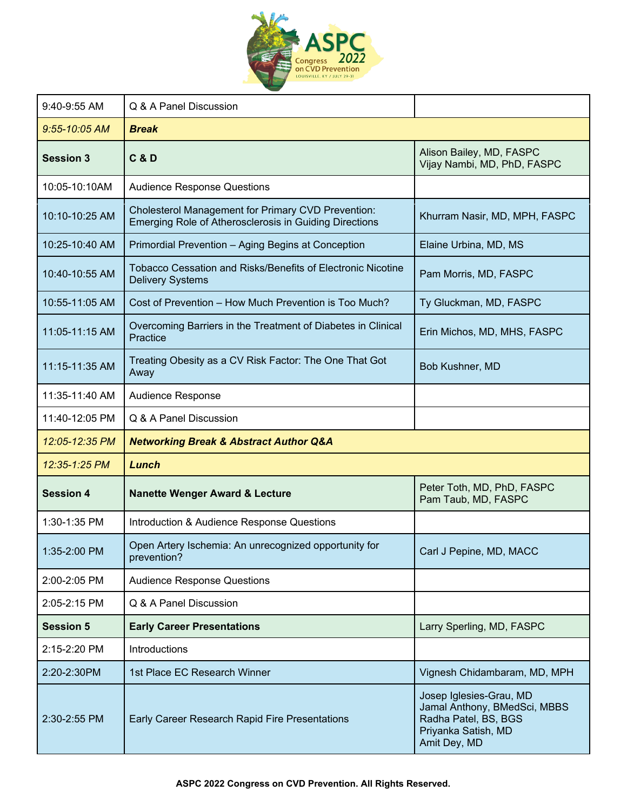

| 9:40-9:55 AM      | Q & A Panel Discussion                                                                                       |                                                                                                                        |
|-------------------|--------------------------------------------------------------------------------------------------------------|------------------------------------------------------------------------------------------------------------------------|
| $9:55 - 10:05$ AM | <b>Break</b>                                                                                                 |                                                                                                                        |
| <b>Session 3</b>  | <b>C&amp;D</b>                                                                                               | Alison Bailey, MD, FASPC<br>Vijay Nambi, MD, PhD, FASPC                                                                |
| 10:05-10:10AM     | <b>Audience Response Questions</b>                                                                           |                                                                                                                        |
| 10:10-10:25 AM    | Cholesterol Management for Primary CVD Prevention:<br>Emerging Role of Atherosclerosis in Guiding Directions | Khurram Nasir, MD, MPH, FASPC                                                                                          |
| 10:25-10:40 AM    | Primordial Prevention - Aging Begins at Conception                                                           | Elaine Urbina, MD, MS                                                                                                  |
| 10:40-10:55 AM    | Tobacco Cessation and Risks/Benefits of Electronic Nicotine<br><b>Delivery Systems</b>                       | Pam Morris, MD, FASPC                                                                                                  |
| 10:55-11:05 AM    | Cost of Prevention - How Much Prevention is Too Much?                                                        | Ty Gluckman, MD, FASPC                                                                                                 |
| 11:05-11:15 AM    | Overcoming Barriers in the Treatment of Diabetes in Clinical<br>Practice                                     | Erin Michos, MD, MHS, FASPC                                                                                            |
| 11:15-11:35 AM    | Treating Obesity as a CV Risk Factor: The One That Got<br>Away                                               | Bob Kushner, MD                                                                                                        |
| 11:35-11:40 AM    | Audience Response                                                                                            |                                                                                                                        |
| 11:40-12:05 PM    | Q & A Panel Discussion                                                                                       |                                                                                                                        |
| 12:05-12:35 PM    | <b>Networking Break &amp; Abstract Author Q&amp;A</b>                                                        |                                                                                                                        |
| 12:35-1:25 PM     | Lunch                                                                                                        |                                                                                                                        |
| <b>Session 4</b>  | <b>Nanette Wenger Award &amp; Lecture</b>                                                                    | Peter Toth, MD, PhD, FASPC<br>Pam Taub, MD, FASPC                                                                      |
| 1:30-1:35 PM      | Introduction & Audience Response Questions                                                                   |                                                                                                                        |
| 1:35-2:00 PM      | Open Artery Ischemia: An unrecognized opportunity for<br>prevention?                                         | Carl J Pepine, MD, MACC                                                                                                |
| 2:00-2:05 PM      | <b>Audience Response Questions</b>                                                                           |                                                                                                                        |
| 2:05-2:15 PM      | Q & A Panel Discussion                                                                                       |                                                                                                                        |
| <b>Session 5</b>  | <b>Early Career Presentations</b>                                                                            | Larry Sperling, MD, FASPC                                                                                              |
| 2:15-2:20 PM      | Introductions                                                                                                |                                                                                                                        |
| 2:20-2:30PM       | 1st Place EC Research Winner                                                                                 | Vignesh Chidambaram, MD, MPH                                                                                           |
| 2:30-2:55 PM      | Early Career Research Rapid Fire Presentations                                                               | Josep Iglesies-Grau, MD<br>Jamal Anthony, BMedSci, MBBS<br>Radha Patel, BS, BGS<br>Priyanka Satish, MD<br>Amit Dey, MD |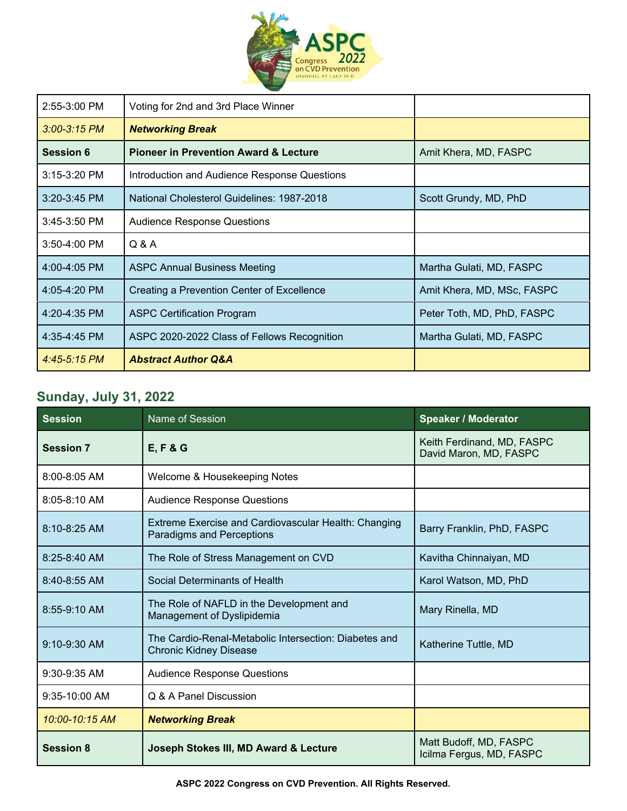

| 2:55-3:00 PM     | Voting for 2nd and 3rd Place Winner              |                            |
|------------------|--------------------------------------------------|----------------------------|
| $3:00 - 3:15$ PM | <b>Networking Break</b>                          |                            |
| <b>Session 6</b> | <b>Pioneer in Prevention Award &amp; Lecture</b> | Amit Khera, MD, FASPC      |
| 3:15-3:20 PM     | Introduction and Audience Response Questions     |                            |
| $3:20 - 3:45$ PM | National Cholesterol Guidelines: 1987-2018       | Scott Grundy, MD, PhD      |
| $3:45-3:50$ PM   | <b>Audience Response Questions</b>               |                            |
| $3:50-4:00$ PM   | Q & A                                            |                            |
| 4:00-4:05 PM     | <b>ASPC Annual Business Meeting</b>              | Martha Gulati, MD, FASPC   |
| 4:05-4:20 PM     | Creating a Prevention Center of Excellence       | Amit Khera, MD, MSc, FASPC |
| 4:20-4:35 PM     | <b>ASPC Certification Program</b>                | Peter Toth, MD, PhD, FASPC |
| 4:35-4:45 PM     | ASPC 2020-2022 Class of Fellows Recognition      | Martha Gulati, MD, FASPC   |
| $4:45-5:15$ PM   | <b>Abstract Author Q&amp;A</b>                   |                            |

# **Sunday, July 31, 2022**

| <b>Session</b>   | Name of Session                                                                          | <b>Speaker / Moderator</b>                           |
|------------------|------------------------------------------------------------------------------------------|------------------------------------------------------|
| <b>Session 7</b> | <b>E, F &amp; G</b>                                                                      | Keith Ferdinand, MD, FASPC<br>David Maron, MD, FASPC |
| $8:00 - 8:05$ AM | Welcome & Housekeeping Notes                                                             |                                                      |
| $8:05 - 8:10$ AM | <b>Audience Response Questions</b>                                                       |                                                      |
| $8:10 - 8:25$ AM | Extreme Exercise and Cardiovascular Health: Changing<br><b>Paradigms and Perceptions</b> | Barry Franklin, PhD, FASPC                           |
| 8:25-8:40 AM     | The Role of Stress Management on CVD                                                     | Kavitha Chinnaiyan, MD                               |
| 8:40-8:55 AM     | Social Determinants of Health                                                            | Karol Watson, MD, PhD                                |
| 8:55-9:10 AM     | The Role of NAFLD in the Development and<br>Management of Dyslipidemia                   | Mary Rinella, MD                                     |
| 9:10-9:30 AM     | The Cardio-Renal-Metabolic Intersection: Diabetes and<br><b>Chronic Kidney Disease</b>   | Katherine Tuttle, MD                                 |
| $9:30 - 9:35$ AM | <b>Audience Response Questions</b>                                                       |                                                      |
| $9:35-10:00$ AM  | Q & A Panel Discussion                                                                   |                                                      |
| 10:00-10:15 AM   | <b>Networking Break</b>                                                                  |                                                      |
| <b>Session 8</b> | Joseph Stokes III, MD Award & Lecture                                                    | Matt Budoff, MD, FASPC<br>Icilma Fergus, MD, FASPC   |